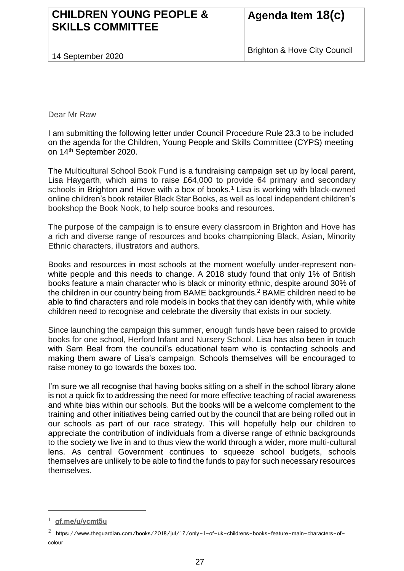## **CHILDREN YOUNG PEOPLE & SKILLS COMMITTEE**

14 September 2020

Dear Mr Raw

I am submitting the following letter under Council Procedure Rule 23.3 to be included on the agenda for the Children, Young People and Skills Committee (CYPS) meeting on 14th September 2020.

The Multicultural School Book Fund is a fundraising campaign set up by local parent, Lisa Haygarth, which aims to raise £64,000 to provide 64 primary and secondary schools in Brighton and Hove with a box of books.<sup>1</sup> Lisa is working with black-owned online children's book retailer Black Star Books, as well as local independent children's bookshop the Book Nook, to help source books and resources.

The purpose of the campaign is to ensure every classroom in Brighton and Hove has a rich and diverse range of resources and books championing Black, Asian, Minority Ethnic characters, illustrators and authors.

Books and resources in most schools at the moment woefully under-represent nonwhite people and this needs to change. A 2018 study found that only 1% of British books feature a main character who is black or minority ethnic, despite around 30% of the children in our country being from BAME backgrounds.<sup>2</sup> BAME children need to be able to find characters and role models in books that they can identify with, while white children need to recognise and celebrate the diversity that exists in our society.

Since launching the campaign this summer, enough funds have been raised to provide books for one school, Herford Infant and Nursery School. Lisa has also been in touch with Sam Beal from the council's educational team who is contacting schools and making them aware of Lisa's campaign. Schools themselves will be encouraged to raise money to go towards the boxes too.

I'm sure we all recognise that having books sitting on a shelf in the school library alone is not a quick fix to addressing the need for more effective teaching of racial awareness and white bias within our schools. But the books will be a welcome complement to the training and other initiatives being carried out by the council that are being rolled out in our schools as part of our race strategy. This will hopefully help our children to appreciate the contribution of individuals from a diverse range of ethnic backgrounds to the society we live in and to thus view the world through a wider, more multi-cultural lens. As central Government continues to squeeze school budgets, schools themselves are unlikely to be able to find the funds to pay for such necessary resources themselves.

i<br>Li

<sup>1</sup> **[gf.me/u/ycmt5u](http://gf.me/u/ycmt5u)**

<sup>2</sup> https://www.theguardian.com/books/2018/jul/17/only-1-of-uk-childrens-books-feature-main-characters-ofcolour